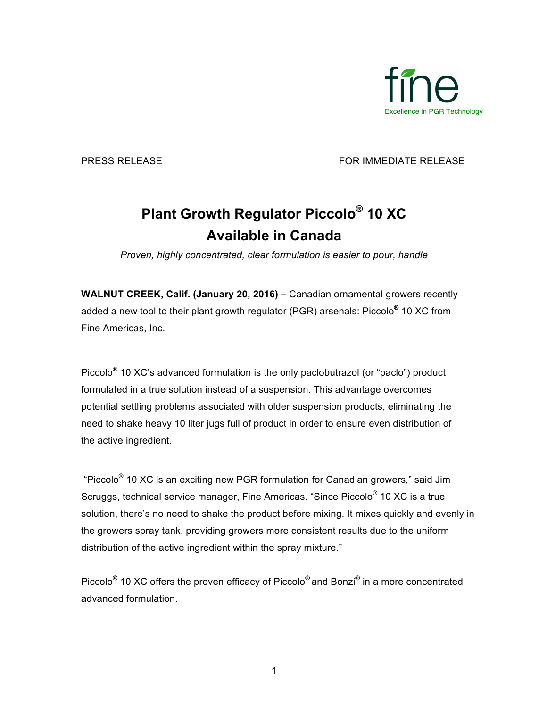

PRESS RELEASE FOR IMMEDIATE RELEASE

## **Plant Growth Regulator Piccolo® 10 XC Available in Canada**

*Proven, highly concentrated, clear formulation is easier to pour, handle*

**WALNUT CREEK, Calif. (January 20, 2016) –** Canadian ornamental growers recently added a new tool to their plant growth regulator (PGR) arsenals: Piccolo**®** 10 XC from Fine Americas, Inc.

Piccolo® 10 XC's advanced formulation is the only paclobutrazol (or "paclo") product formulated in a true solution instead of a suspension. This advantage overcomes potential settling problems associated with older suspension products, eliminating the need to shake heavy 10 liter jugs full of product in order to ensure even distribution of the active ingredient.

"Piccolo® 10 XC is an exciting new PGR formulation for Canadian growers," said Jim Scruggs, technical service manager, Fine Americas. "Since Piccolo® 10 XC is a true solution, there's no need to shake the product before mixing. It mixes quickly and evenly in the growers spray tank, providing growers more consistent results due to the uniform distribution of the active ingredient within the spray mixture."

Piccolo**®** 10 XC offers the proven efficacy of Piccolo**®** and Bonzi**®** in a more concentrated advanced formulation.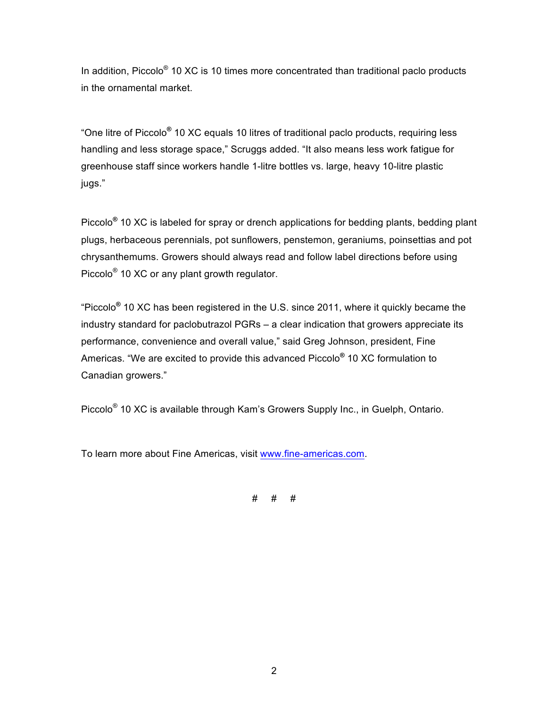In addition, Piccolo<sup>®</sup> 10 XC is 10 times more concentrated than traditional paclo products in the ornamental market.

"One litre of Piccolo**®** 10 XC equals 10 litres of traditional paclo products, requiring less handling and less storage space," Scruggs added. "It also means less work fatigue for greenhouse staff since workers handle 1-litre bottles vs. large, heavy 10-litre plastic jugs."

Piccolo**®** 10 XC is labeled for spray or drench applications for bedding plants, bedding plant plugs, herbaceous perennials, pot sunflowers, penstemon, geraniums, poinsettias and pot chrysanthemums. Growers should always read and follow label directions before using Piccolo® 10 XC or any plant growth regulator.

"Piccolo**®** 10 XC has been registered in the U.S. since 2011, where it quickly became the industry standard for paclobutrazol PGRs – a clear indication that growers appreciate its performance, convenience and overall value," said Greg Johnson, president, Fine Americas. "We are excited to provide this advanced Piccolo**®** 10 XC formulation to Canadian growers."

Piccolo® 10 XC is available through Kam's Growers Supply Inc., in Guelph, Ontario.

To learn more about Fine Americas, visit www.fine-americas.com.

# # #